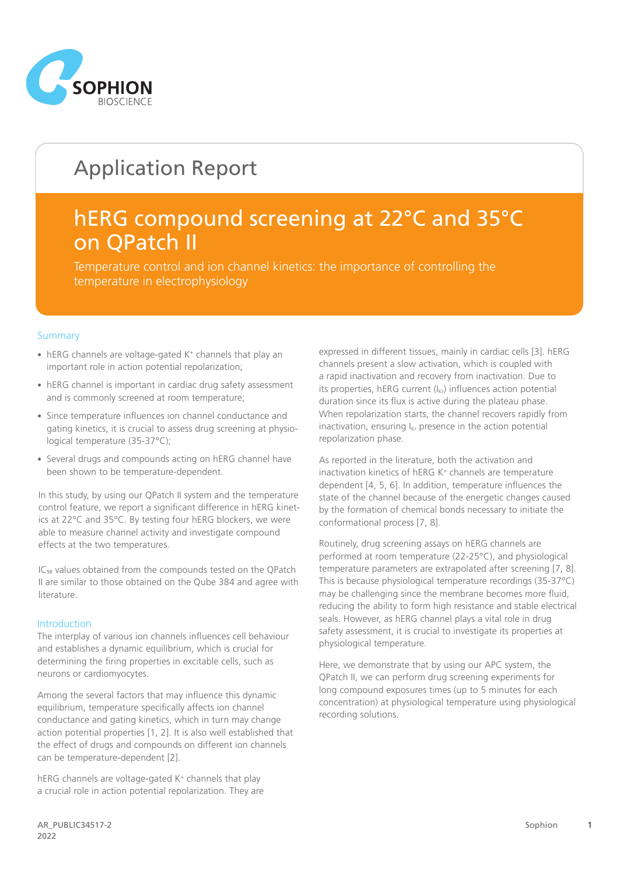

# Application Report

## hERG compound screening at 22°C and 35°C on QPatch II

Temperature control and ion channel kinetics: the importance of controlling the temperature in electrophysiology

#### **Summary**

- hERG channels are voltage-gated K+ channels that play an important role in action potential repolarization;
- hERG channel is important in cardiac drug safety assessment and is commonly screened at room temperature;
- Since temperature influences ion channel conductance and gating kinetics, it is crucial to assess drug screening at physiological temperature (35-37°C);
- Several drugs and compounds acting on hERG channel have been shown to be temperature-dependent.

In this study, by using our QPatch II system and the temperature control feature, we report a significant difference in hERG kinetics at 22°C and 35°C. By testing four hERG blockers, we were able to measure channel activity and investigate compound effects at the two temperatures.

IC<sub>50</sub> values obtained from the compounds tested on the QPatch II are similar to those obtained on the Qube 384 and agree with literature.

#### Introduction

The interplay of various ion channels influences cell behaviour and establishes a dynamic equilibrium, which is crucial for determining the firing properties in excitable cells, such as neurons or cardiomyocytes.

Among the several factors that may influence this dynamic equilibrium, temperature specifically affects ion channel conductance and gating kinetics, which in turn may change action potential properties [1, 2]. It is also well established that the effect of drugs and compounds on different ion channels can be temperature-dependent [2].

hERG channels are voltage-gated K<sup>+</sup> channels that play a crucial role in action potential repolarization. They are

expressed in different tissues, mainly in cardiac cells [3]. hERG channels present a slow activation, which is coupled with a rapid inactivation and recovery from inactivation. Due to its properties, hERG current  $(I_{\text{Kr}})$  influences action potential duration since its flux is active during the plateau phase. When repolarization starts, the channel recovers rapidly from inactivation, ensuring  $I_{Kr}$  presence in the action potential repolarization phase.

As reported in the literature, both the activation and inactivation kinetics of hERG K+ channels are temperature dependent [4, 5, 6]. In addition, temperature influences the state of the channel because of the energetic changes caused by the formation of chemical bonds necessary to initiate the conformational process [7, 8].

Routinely, drug screening assays on hERG channels are performed at room temperature (22-25°C), and physiological temperature parameters are extrapolated after screening [7, 8]. This is because physiological temperature recordings (35-37°C) may be challenging since the membrane becomes more fluid, reducing the ability to form high resistance and stable electrical seals. However, as hERG channel plays a vital role in drug safety assessment, it is crucial to investigate its properties at physiological temperature.

Here, we demonstrate that by using our APC system, the QPatch II, we can perform drug screening experiments for long compound exposures times (up to 5 minutes for each concentration) at physiological temperature using physiological recording solutions.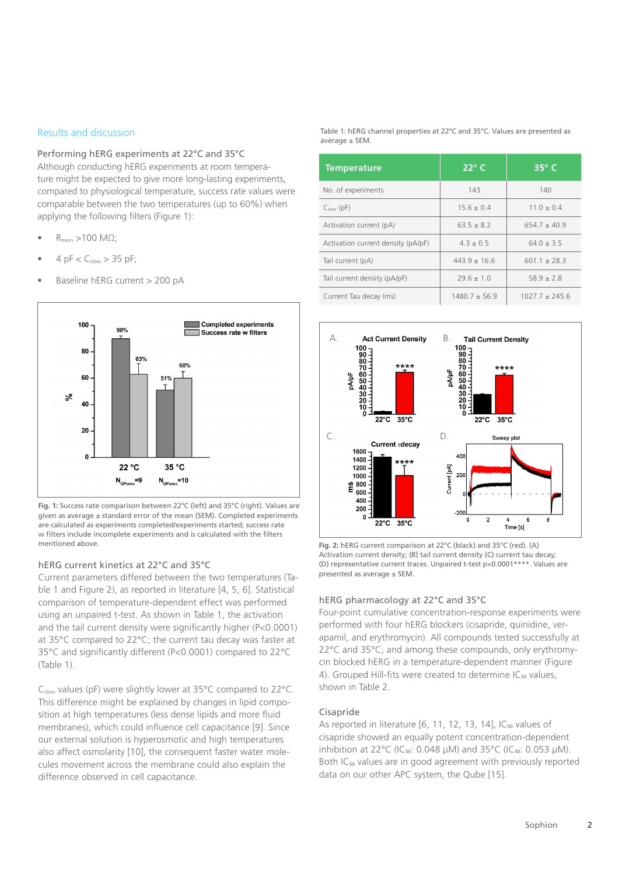#### Results and discussion

Performing hERG experiments at 22°C and 35°C Although conducting hERG experiments at room temperature might be expected to give more long-lasting experiments, compared to physiological temperature, success rate values were comparable between the two temperatures (up to 60%) when applying the following filters (Figure 1):

- $R_{\text{mem}} > 100 \text{ M}\Omega$ ;
- 4 pF  $<$  C<sub>slow</sub>  $>$  35 pF;
- Baseline hERG current > 200 pA



**Fig. 1:** Success rate comparison between 22°C (left) and 35°C (right). Values are given as average ± standard error of the mean (SEM). Completed experiments are calculated as experiments completed/experiments started; success rate w filters include incomplete experiments and is calculated with the filters mentioned above. **Fig. 2: hERG current comparison at 22°C (black) and 35°C (red).** (A)

#### hERG current kinetics at 22°C and 35°C

Current parameters differed between the two temperatures (Table 1 and Figure 2), as reported in literature [4, 5, 6]. Statistical comparison of temperature-dependent effect was performed using an unpaired t-test. As shown in Table 1, the activation and the tail current density were significantly higher (P<0.0001) at 35°C compared to 22°C; the current tau decay was faster at 35°C and significantly different (P<0.0001) compared to 22°C (Table 1).

Cslow values (pF) were slightly lower at 35°C compared to 22°C. This difference might be explained by changes in lipid composition at high temperatures (less dense lipids and more fluid membranes), which could influence cell capacitance [9]. Since our external solution is hyperosmotic and high temperatures also affect osmolarity [10], the consequent faster water molecules movement across the membrane could also explain the difference observed in cell capacitance.

Table 1: hERG channel properties at 22°C and 35°C. Values are presented as average ± SEM.

| <b>Temperature</b>                 | $22^{\circ}$ C   | $35^\circ$ C       |
|------------------------------------|------------------|--------------------|
| No. of experiments                 | 143              | 140                |
| $C_{slow}$ (pF)                    | $15.6 \pm 0.4$   | $11.0 \pm 0.4$     |
| Activation current (pA)            | $63.5 \pm 8.2$   | $654.7 \pm 40.9$   |
| Activation current density (pA/pF) | $4.3 \pm 0.5$    | $64.0 \pm 3.5$     |
| Tail current (pA)                  | $443.9 \pm 16.6$ | $601.1 \pm 28.3$   |
| Tail current density (pA/pF)       | $29.6 \pm 1.0$   | $58.9 \pm 2.8$     |
| Current Tau decay (ms)             | $1480.7 + 56.9$  | $1027.7 \pm 245.6$ |



Activation current density; (B) tail current density (C) current tau decay; (D) representative current traces. Unpaired t-test p<0.0001\*\*\*\*. Values are presented as average ± SEM.

#### hERG pharmacology at 22°C and 35°C

Four-point cumulative concentration-response experiments were performed with four hERG blockers (cisapride, quinidine, verapamil, and erythromycin). All compounds tested successfully at 22°C and 35°C, and among these compounds, only erythromycin blocked hERG in a temperature-dependent manner (Figure 4). Grouped Hill-fits were created to determine  $IC_{50}$  values, shown in Table 2.

#### Cisapride

As reported in literature [6, 11, 12, 13, 14],  $IC_{50}$  values of cisapride showed an equally potent concentration-dependent inhibition at 22 $^{\circ}$ C (IC<sub>50</sub>: 0.048 µM) and 35 $^{\circ}$ C (IC<sub>50</sub>: 0.053 µM). Both IC<sub>50</sub> values are in good agreement with previously reported data on our other APC system, the Qube [15].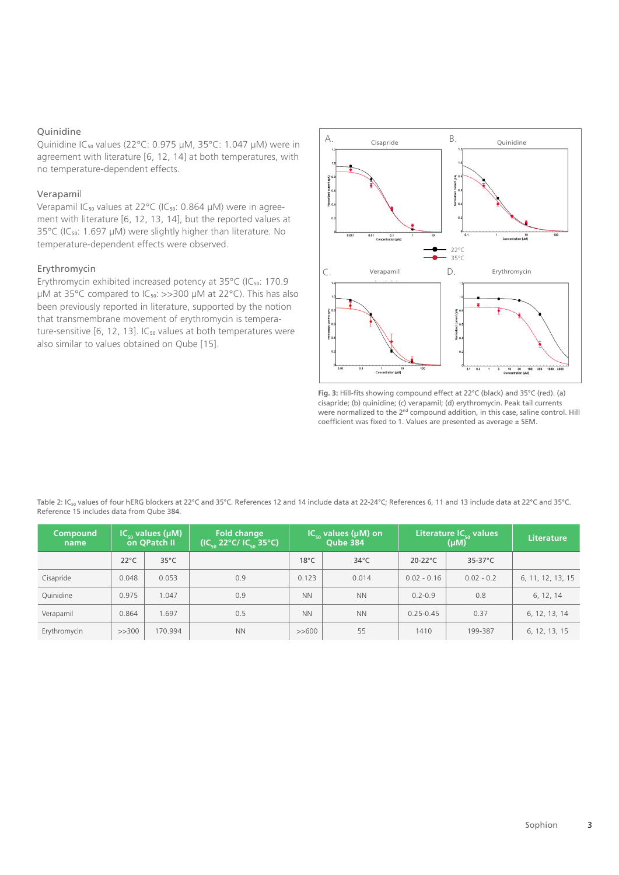#### Quinidine

Quinidine IC50 values (22°C: 0.975 µM, 35°C: 1.047 µM) were in agreement with literature [6, 12, 14] at both temperatures, with no temperature-dependent effects.

#### Verapamil

Verapamil IC<sub>50</sub> values at 22°C (IC<sub>50</sub>: 0.864 µM) were in agreement with literature [6, 12, 13, 14], but the reported values at 35°C (IC<sub>50</sub>: 1.697 µM) were slightly higher than literature. No temperature-dependent effects were observed.

### Erythromycin

Erythromycin exhibited increased potency at 35°C (IC<sub>50</sub>: 170.9  $\mu$ M at 35°C compared to IC<sub>50</sub>:  $>>$ 300  $\mu$ M at 22°C). This has also been previously reported in literature, supported by the notion that transmembrane movement of erythromycin is temperature-sensitive  $[6, 12, 13]$ . IC<sub>50</sub> values at both temperatures were also similar to values obtained on Qube [15].



**Fig. 3:** Hill-fits showing compound effect at 22°C (black) and 35°C (red). (a) cisapride; (b) quinidine; (c) verapamil; (d) erythromycin. Peak tail currents were normalized to the  $2^{nd}$  compound addition, in this case, saline control. Hill coefficient was fixed to 1. Values are presented as average ± SEM.

Table 2: IC<sub>50</sub> values of four hERG blockers at 22°C and 35°C. References 12 and 14 include data at 22-24°C; References 6, 11 and 13 include data at 22°C and 35°C. Reference 15 includes data from Qube 384.

| <b>Compound</b><br>name |                | $IC_{\scriptscriptstyle{en}}$ values (µM)<br>on QPatch II | <b>Fold change</b><br>$(IC_{50} 22^{\circ}C/IC_{50} 35^{\circ}C)$ | $IC_{50}$ values (µM) on<br>Qube 384 |                | Literature IC <sub>so</sub> values<br>(µM) |                   | <b>Literature</b> |
|-------------------------|----------------|-----------------------------------------------------------|-------------------------------------------------------------------|--------------------------------------|----------------|--------------------------------------------|-------------------|-------------------|
|                         | $22^{\circ}$ C | $35^{\circ}$ C                                            |                                                                   | $18^{\circ}$ C                       | $34^{\circ}$ C | $20-22$ °C                                 | $35-37^{\circ}$ C |                   |
| Cisapride               | 0.048          | 0.053                                                     | 0.9                                                               | 0.123                                | 0.014          | $0.02 - 0.16$                              | $0.02 - 0.2$      | 6, 11, 12, 13, 15 |
| Quinidine               | 0.975          | 1.047                                                     | 0.9                                                               | <b>NN</b>                            | <b>NN</b>      | $0.2 - 0.9$                                | 0.8               | 6, 12, 14         |
| Verapamil               | 0.864          | 1.697                                                     | 0.5                                                               | <b>NN</b>                            | <b>NN</b>      | $0.25 - 0.45$                              | 0.37              | 6, 12, 13, 14     |
| Erythromycin            | >>300          | 170.994                                                   | <b>NN</b>                                                         | >>600                                | 55             | 1410                                       | 199-387           | 6, 12, 13, 15     |